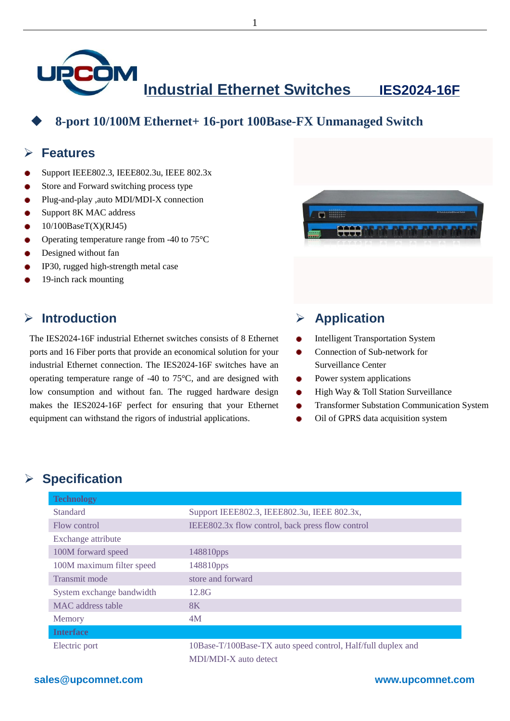

1

## **8-port 10/100M Ethernet+ 16-port 100Base-FX Unmanaged Switch**

#### **Features**

- Support IEEE802.3, IEEE802.3u, IEEE 802.3x
- Store and Forward switching process type ٠
- Plug-and-play ,auto MDI/MDI-X connection
- Support 8K MAC address
- 10/100BaseT(X)(RJ45)
- Operating temperature range from -40 to 75  $\mathbb{C}$
- Designed without fan
- IP30, rugged high-strength metal case
- 19-inch rack mounting

#### **Introduction**

The IES2024-16F industrial Ethernet switches consists of 8 Ethernet ports and 16 Fiber ports that provide an economical solution for your industrial Ethernet connection. The IES2024-16F switches have an operating temperature range of -40 to 75  $\mathbb{C}$ , and are designed with low consumption and without fan. The rugged hardware design makes the IES2024-16F perfect for ensuring that your Ethernet equipment can withstand the rigors of industrial applications.



### **Application**

- Intelligent Transportation System
- $\bullet$ Connection of Sub-network for Surveillance Center
- $\bullet$ Power system applications
- High Way & Toll Station Surveillance ٠
- Transformer Substation Communication System
- Oil of GPRS data acquisition system

## **Specification**

| <b>Technology</b>         |                                                              |
|---------------------------|--------------------------------------------------------------|
| <b>Standard</b>           | Support IEEE802.3, IEEE802.3u, IEEE 802.3x,                  |
| Flow control              | IEEE802.3x flow control, back press flow control             |
| Exchange attribute        |                                                              |
| 100M forward speed        | 148810pps                                                    |
| 100M maximum filter speed | 148810pps                                                    |
| Transmit mode             | store and forward                                            |
| System exchange bandwidth | 12.8G                                                        |
| MAC address table         | 8K                                                           |
| Memory                    | 4M                                                           |
| <b>Interface</b>          |                                                              |
| Electric port             | 10Base-T/100Base-TX auto speed control, Half/full duplex and |
|                           | <b>MDI/MDI-X</b> auto detect                                 |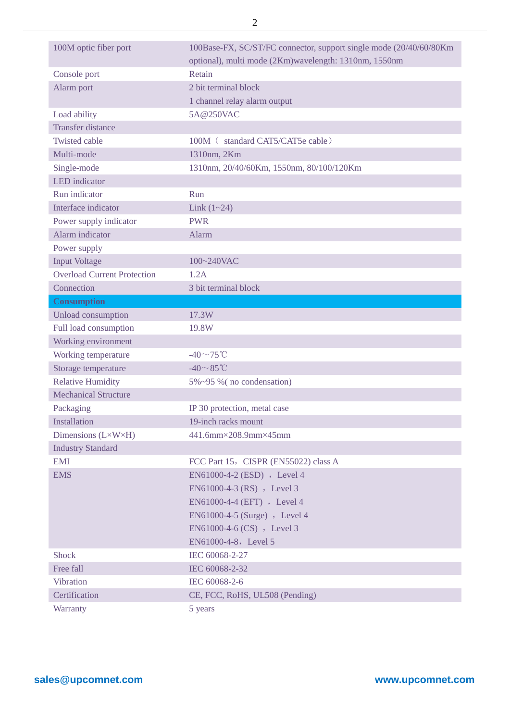| 100M optic fiber port              | 100Base-FX, SC/ST/FC connector, support single mode (20/40/60/80Km |
|------------------------------------|--------------------------------------------------------------------|
|                                    | optional), multi mode (2Km)wavelength: 1310nm, 1550nm              |
| Console port                       | Retain                                                             |
| Alarm port                         | 2 bit terminal block                                               |
|                                    | 1 channel relay alarm output                                       |
| Load ability                       | 5A@250VAC                                                          |
| <b>Transfer distance</b>           |                                                                    |
| <b>Twisted cable</b>               | 100M (standard CAT5/CAT5e cable)                                   |
| Multi-mode                         | 1310nm, 2Km                                                        |
| Single-mode                        | 1310nm, 20/40/60Km, 1550nm, 80/100/120Km                           |
| <b>LED</b> indicator               |                                                                    |
| Run indicator                      | Run                                                                |
| Interface indicator                | Link $(1 - 24)$                                                    |
| Power supply indicator             | <b>PWR</b>                                                         |
| Alarm indicator                    | Alarm                                                              |
| Power supply                       |                                                                    |
| <b>Input Voltage</b>               | 100~240VAC                                                         |
| <b>Overload Current Protection</b> | 1.2A                                                               |
| Connection                         | 3 bit terminal block                                               |
| <b>Consumption</b>                 |                                                                    |
| Unload consumption                 | 17.3W                                                              |
| Full load consumption              | 19.8W                                                              |
| Working environment                |                                                                    |
| Working temperature                | -40 $\sim$ 75°C                                                    |
| Storage temperature                | $-40 \sim 85$ °C                                                   |
| <b>Relative Humidity</b>           | 5%~95 % (no condensation)                                          |
| <b>Mechanical Structure</b>        |                                                                    |
| Packaging                          | IP 30 protection, metal case                                       |
| Installation                       | 19-inch racks mount                                                |
| Dimensions $(L \times W \times H)$ | $441.6$ mm $\times$ 208.9mm $\times$ 45mm                          |
| <b>Industry Standard</b>           |                                                                    |
| <b>EMI</b>                         | FCC Part 15, CISPR (EN55022) class A                               |
| <b>EMS</b>                         | EN61000-4-2 (ESD) , Level 4                                        |
|                                    | EN61000-4-3 (RS), Level 3                                          |
|                                    | EN61000-4-4 (EFT) , Level 4                                        |
|                                    | EN61000-4-5 (Surge) , Level 4                                      |
|                                    | EN61000-4-6 (CS) , Level 3                                         |
|                                    | EN61000-4-8, Level 5                                               |
| <b>Shock</b>                       | IEC 60068-2-27                                                     |
| Free fall                          | IEC 60068-2-32                                                     |
| <b>Vibration</b>                   | IEC 60068-2-6                                                      |
| Certification                      | CE, FCC, RoHS, UL508 (Pending)                                     |
| Warranty                           | 5 years                                                            |